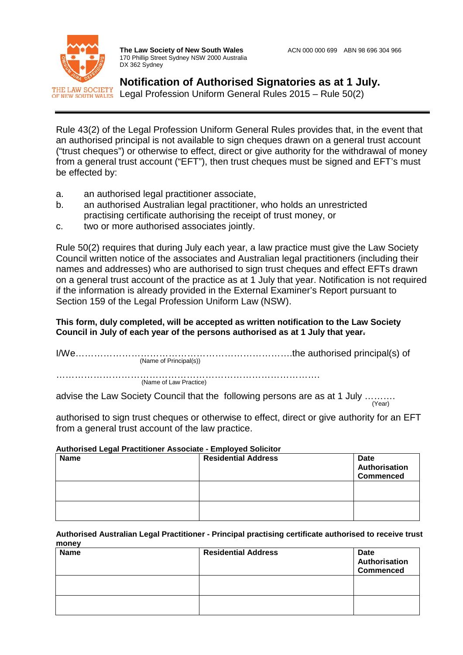

be effected by:

**The Law Society of New South Wales** ACN 000 000 699 ABN 98 696 304 966 170 Phillip Street Sydney NSW 2000 Australia DX 362 Sydney

**Notification of Authorised Signatories as at 1 July.** Legal Profession Uniform General Rules 2015 – Rule 50(2)

Rule 43(2) of the Legal Profession Uniform General Rules provides that, in the event that an authorised principal is not available to sign cheques drawn on a general trust account ("trust cheques") or otherwise to effect, direct or give authority for the withdrawal of money from a general trust account ("EFT"), then trust cheques must be signed and EFT's must

- a. an authorised legal practitioner associate,
- b. an authorised Australian legal practitioner, who holds an unrestricted practising certificate authorising the receipt of trust money, or
- c. two or more authorised associates jointly.

Rule 50(2) requires that during July each year, a law practice must give the Law Society Council written notice of the associates and Australian legal practitioners (including their names and addresses) who are authorised to sign trust cheques and effect EFTs drawn on a general trust account of the practice as at 1 July that year. Notification is not required if the information is already provided in the External Examiner's Report pursuant to Section 159 of the Legal Profession Uniform Law (NSW).

# **This form, duly completed, will be accepted as written notification to the Law Society Council in July of each year of the persons authorised as at 1 July that year.**

| (Name of Principal(s)) |
|------------------------|
|                        |
| (Name of Law Practice) |
|                        |

advise the Law Society Council that the following persons are as at 1 July ………. (Year)

authorised to sign trust cheques or otherwise to effect, direct or give authority for an EFT from a general trust account of the law practice.

## **Authorised Legal Practitioner Associate - Employed Solicitor**

| <b>Name</b> | <b>Residential Address</b> | Date<br>Authorisation<br><b>Commenced</b> |
|-------------|----------------------------|-------------------------------------------|
|             |                            |                                           |
|             |                            |                                           |

#### **Authorised Australian Legal Practitioner - Principal practising certificate authorised to receive trust money**

| <b>Name</b> | <b>Residential Address</b> | <b>Date</b><br>Authorisation<br><b>Commenced</b> |
|-------------|----------------------------|--------------------------------------------------|
|             |                            |                                                  |
|             |                            |                                                  |